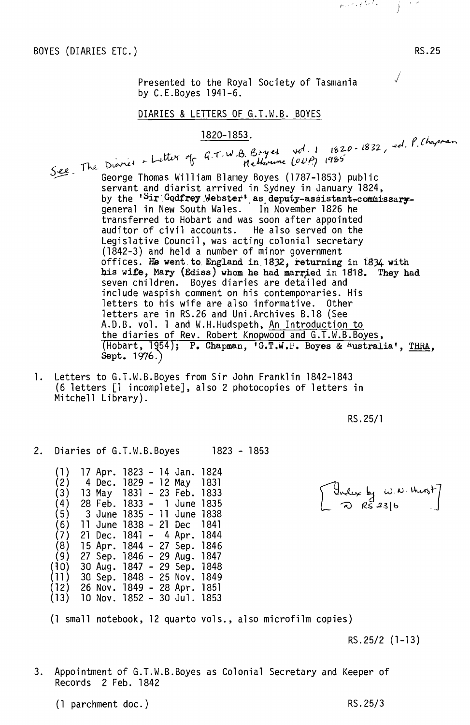BOYES (DIARIES ETC.)

RS.25

Presented to the Royal Society of Tasmania  $\sqrt{}$ by C.E.Boyes 1941-6.

## DIARIES & LETTERS OF G.T.W.B. BOYES

## 1820-1853.

real *The Dianer - Letter* of G.T.W.B. Bryes vol. 1 1820-1832, ed. P. thapman<br>Methouse COVP, 1985 5~ - George Thomas William Blarney Boyes (1787-1853) public servant and diarist arrived in Sydney in January 1824, by the '<sup>S</sup>ir Godfrey Webster' as deputy-assistant-commissarygeneral in New South Wales. In November 1826 he transferred to Hobart and was soon after appointed auditor of civil accounts. He also served on the Legislative Council, was acting colonial secretary (1842-3) and held a number of minor government offices. He went to England in. 1832, returning in t834 with his wife, Mary (Ediss) whom he had married in 1818. They had seven children. Boyes diaries are detailed and include waspish comment on his contemporaries. His letters to his wife are also informative. Other letters are in RS.26 and Uni.Archives B.18 (See A.D.B. vol. 1 and W.H.Hudspeth, <u>An Introduction to</u> the diaries of Rev. Robert Knopwood and G.T.W.B.Boyes,  $(Hobart, 1954);$  P. Chapman, 'G.T.W.B. Boyes & Australia', THRA, Sept. 1976.)

1. Letters to G.T.W.B.Boyes from Sir John Franklin 1842-1843 (6 letters [1 incomplete], also 2 photocopies of letters in Mitchell Library).

RS.25/1

 $\begin{bmatrix} \frac{1}{2} & \frac{1}{2} & \frac{1}{2} & \frac{1}{2} & \frac{1}{2} & \frac{1}{2} & \frac{1}{2} & \frac{1}{2} & \frac{1}{2} & \frac{1}{2} & \frac{1}{2} & \frac{1}{2} & \frac{1}{2} & \frac{1}{2} & \frac{1}{2} & \frac{1}{2} & \frac{1}{2} & \frac{1}{2} & \frac{1}{2} & \frac{1}{2} & \frac{1}{2} & \frac{1}{2} & \frac{1}{2} & \frac{1}{2} & \frac{1}{2} & \frac{1}{2} & \frac{1}{2$ 

2. Diaries of G.T.W.B.Boyes 1823 - 1853

(1 ) 17 Apr. 1823 - 14 Jan. 1824 (2) 4 Dec. 1829 - 12 May 1831 (3) 13 May 1831 - 23 Feb. 1833 (4) 28 Feb. 1833 - 1 June 1835  $(5)$  3 June 1835 - 11 June 1838<br>(6) 11 June 1838 - 21 Dec 1841 (6) 11 June 1838 - 21 Dec 1841 (7) 21 Dec. 1841 - 4 Apr. 1844 (8) 15 Apr. 1844 - 27 Sep. 1846 (9) 27 Sep. 1846 - 29 Aug. 1847 (~O) 30 Aug. 1847 - 29 Sep. 1848 (11) 30 Sep. 1848 - 25 Nov. 1849 (12) 26 Nov. 1849 - 28 Apr. 1851 (13) 10 Nov. 1852 - 30 Jul. 1853

(1 small notebook, 12 quarto vols., also microfilm copies)

RS.25/2 (1-13)

3. Appointment of G.T.W.B.Boyes as Colonial Secretary and Keeper of Records 2 Feb. 1842

(1 parchment doc.) RS.25/3

I I f' ..~. ' , .;' *,i* ' " )